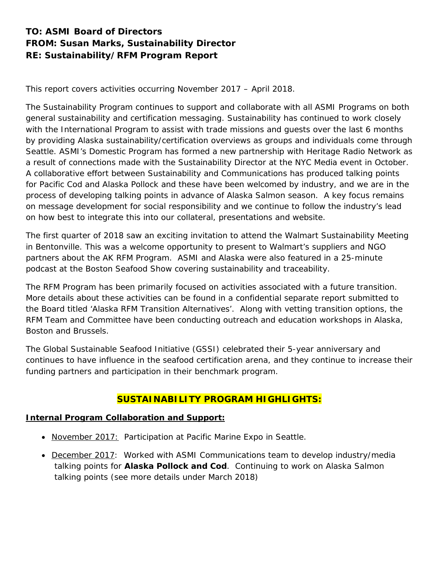# **TO: ASMI Board of Directors FROM: Susan Marks, Sustainability Director RE: Sustainability/RFM Program Report**

This report covers activities occurring November 2017 – April 2018.

The Sustainability Program continues to support and collaborate with all ASMI Programs on both general sustainability and certification messaging. Sustainability has continued to work closely with the International Program to assist with trade missions and guests over the last 6 months by providing Alaska sustainability/certification overviews as groups and individuals come through Seattle. ASMI's Domestic Program has formed a new partnership with Heritage Radio Network as a result of connections made with the Sustainability Director at the NYC Media event in October. A collaborative effort between Sustainability and Communications has produced talking points for Pacific Cod and Alaska Pollock and these have been welcomed by industry, and we are in the process of developing talking points in advance of Alaska Salmon season. A key focus remains on message development for social responsibility and we continue to follow the industry's lead on how best to integrate this into our collateral, presentations and website.

The first quarter of 2018 saw an exciting invitation to attend the Walmart Sustainability Meeting in Bentonville. This was a welcome opportunity to present to Walmart's suppliers and NGO partners about the AK RFM Program. ASMI and Alaska were also featured in a 25-minute podcast at the Boston Seafood Show covering sustainability and traceability.

The RFM Program has been primarily focused on activities associated with a future transition. More details about these activities can be found in a confidential separate report submitted to the Board titled '*Alaska RFM Transition Alternatives'.* Along with vetting transition options, the RFM Team and Committee have been conducting outreach and education workshops in Alaska, Boston and Brussels.

The Global Sustainable Seafood Initiative (GSSI) celebrated their 5-year anniversary and continues to have influence in the seafood certification arena, and they continue to increase their funding partners and participation in their benchmark program.

# **SUSTAINABILITY PROGRAM HIGHLIGHTS:**

# **Internal Program Collaboration and Support:**

- November 2017: Participation at Pacific Marine Expo in Seattle.
- December 2017: Worked with ASMI Communications team to develop industry/media talking points for **Alaska Pollock and Cod**. Continuing to work on Alaska Salmon talking points (see more details under March 2018)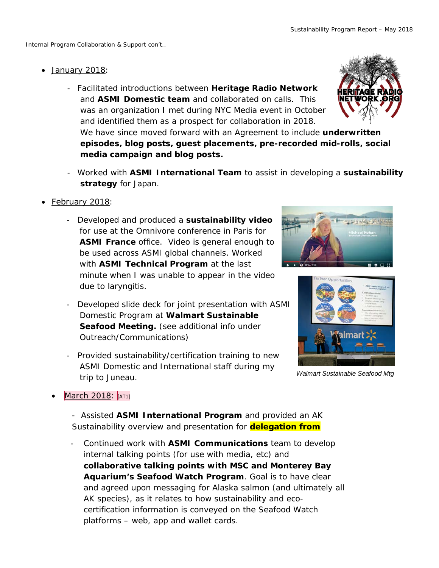- January 2018:
	- Facilitated introductions between **Heritage Radio Network** and **ASMI Domestic team** and collaborated on calls. This was an organization I met during NYC Media event in October and identified them as a prospect for collaboration in 2018. We have since moved forward with an Agreement to include **underwritten episodes, blog posts, guest placements, pre-recorded mid-rolls, social media campaign and blog posts.**
	- Worked with **ASMI International Team** to assist in developing a **sustainability strategy** for Japan.
- February 2018:
	- Developed and produced a **sustainability video** for use at the Omnivore conference in Paris for **ASMI France** office. Video is general enough to be used across ASMI global channels. Worked with **ASMI Technical Program** at the last minute when I was unable to appear in the video due to laryngitis.
	- Developed slide deck for joint presentation with ASMI Domestic Program at **Walmart Sustainable Seafood Meeting.** (*see additional info under Outreach/Communications*)
	- Provided sustainability/certification training to new ASMI Domestic and International staff during my trip to Juneau.





*Walmart Sustainable Seafood Mtg*

March 2018: [AT1]

- Assisted **ASMI International Program** and provided an AK Sustainability overview and presentation for **delegation from**

2 certification information is conveyed on the Seafood Watch - Continued work with **ASMI Communications** team to develop internal talking points (for use with media, etc) and **collaborative talking points with MSC and Monterey Bay Aquarium's Seafood Watch Program**. Goal is to have clear and agreed upon messaging for Alaska salmon (and ultimately all AK species), as it relates to how sustainability and ecoplatforms – web, app and wallet cards.

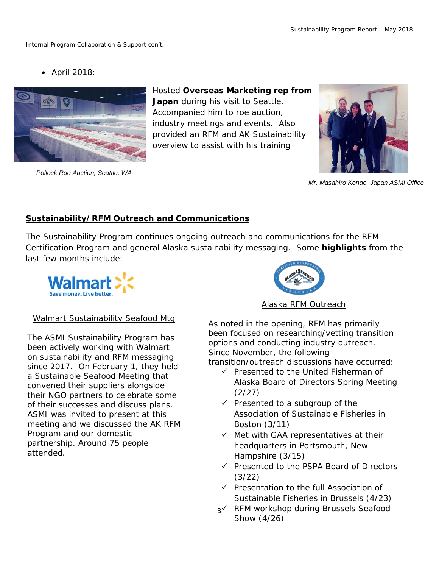• April 2018:



*Pollock Roe Auction, Seattle, WA*

Hosted **Overseas Marketing rep from Japan** during his visit to Seattle.

Accompanied him to roe auction, industry meetings and events. Also provided an RFM and AK Sustainability overview to assist with his training



*Mr. Masahiro Kondo, Japan ASMI Office*

# **Sustainability/RFM Outreach and Communications**

The Sustainability Program continues ongoing outreach and communications for the RFM Certification Program and general Alaska sustainability messaging. Some **highlights** from the last few months include:



# Alaska RFM Outreach

# Walmart Sustainability Seafood Mtg

The ASMI Sustainability Program has been actively working with Walmart on sustainability and RFM messaging since 2017. On February 1, they held a Sustainable Seafood Meeting that convened their suppliers alongside their NGO partners to celebrate some of their successes and discuss plans. ASMI was invited to present at this meeting and we discussed the AK RFM Program and our domestic partnership. Around 75 people attended.

As noted in the opening, RFM has primarily been focused on researching/vetting transition options and conducting industry outreach. Since November, the following transition/outreach discussions have occurred:

- Presented to the *United Fisherman of Alaska* Board of Directors Spring Meeting (2/27)
- $\checkmark$  Presented to a subgroup of the *Association of Sustainable Fisheries* in Boston (3/11)
- $\checkmark$  Met with *GAA* representatives at their headquarters in Portsmouth, New Hampshire (3/15)
- Presented to the *PSPA Board of Directors* (3/22)
- Presentation to the full *Association of Sustainable Fisheries* in Brussels (4/23)
- 3 RFM workshop during *Brussels Seafood Show* (4/26)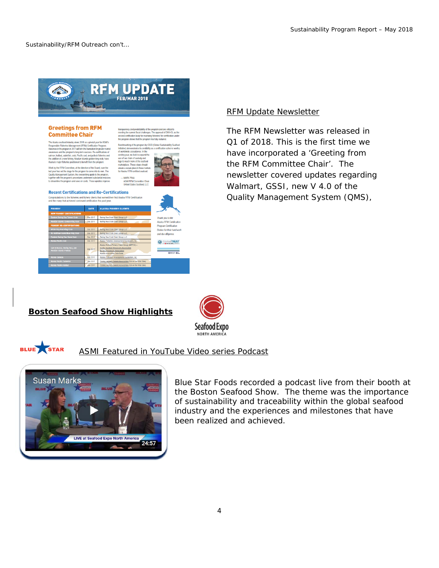

### **Greetings from RFM Committee Chair**

The Company of the Company of the Company of the Company of the ASM<br>profit interest Management (1187M) Certification Program<br>program in 2017 will form the foundation for greater mad<br>of the program is long-term success. Ren ne programm zur i' wii iom ine iourisaion ior greate<br>a and the programm long-tem success. Re-certificati<br>alibut, sabiefish, crab, Pacific cod, and pollock fisher<br>ialor fisheries positioned to benefit from the program<br>iaj

s its <mark>credibility as a o</mark><br>ice. In the ,<br>yand Vork by the RFM Committee, at the direction of the Board, over th

l predictability of the program and a<br>ent fiscal challenges. The approval<br>on body for reviewing fisheries' for

ogram shows that the program has fully matured. of the program by GSSI (Global Susta

www.org.in.com/womanisms.parents/and/womanisms.parents/and/womanisms.parents/and/womanisms.parents/and/womanisms.parents/and/womanisms.parents/and/womanisms.parents/and/womanisms.parents/and/womanisms.parents/and/womanisms





### RFM Update Newsletter

The RFM Newsletter was released in Q1 of 2018. This is the first time we have incorporated a '*Greeting from the RFM Committee Chair'*. The newsletter covered updates regarding Walmart, GSSI, new V 4.0 of the Quality Management System (QMS),

### **Boston Seafood Show Highlights**





### ASMI Featured in YouTube Video series Podcast



Blue Star Foods recorded a podcast live from their booth at the Boston Seafood Show. The theme was the importance of sustainability and traceability within the global seafood industry and the experiences and milestones that have been realized and achieved.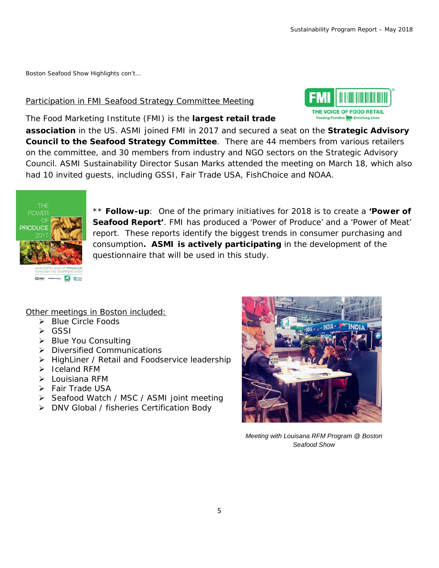*Boston Seafood Show Highlights con't…*

### Participation in FMI Seafood Strategy Committee Meeting



The Food Marketing Institute (FMI) is the **largest retail trade** 

**association** in the US. ASMI joined FMI in 2017 and secured a seat on the **Strategic Advisory Council to the Seafood Strategy Committee**. There are 44 members from various retailers on the committee, and 30 members from industry and NGO sectors on the Strategic Advisory Council. ASMI Sustainability Director Susan Marks attended the meeting on March 18, which also had 10 invited guests, including GSSI, Fair Trade USA, FishChoice and NOAA.



\*\* **Follow-up**: One of the primary initiatives for 2018 is to create a *'Power of Seafood Report'*. FMI has produced a 'Power of Produce' and a 'Power of Meat' report. These reports identify the biggest trends in consumer purchasing and consumption**. ASMI is actively participating** in the development of the questionnaire that will be used in this study.

## Other meetings in Boston included:

- Blue Circle Foods
- GSSI
- $\triangleright$  Blue You Consulting
- > Diversified Communications
- > HighLiner / Retail and Foodservice leadership
- $\triangleright$  Iceland RFM
- Louisiana RFM
- > Fair Trade USA
- ▶ Seafood Watch / MSC / ASMI joint meeting
- DNV Global / fisheries Certification Body



*Meeting with Louisana RFM Program @ Boston Seafood Show*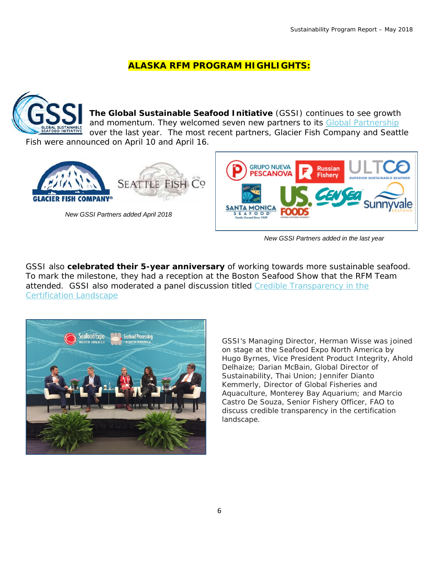# **ALASKA RFM PROGRAM HIGHLIGHTS:**



*New GSSI Partners added in the last year*

GSSI also **celebrated their 5-year anniversary** of working towards more sustainable seafood. To mark the milestone, they had a reception at the Boston Seafood Show that the RFM Team attended. GSSI also moderated a panel discussion titled [Credible Transparency in the](https://www.seafoodexpo.com/north-america/session/credible-transparency-in-the-certification-landscape/)  [Certification Landscape](https://www.seafoodexpo.com/north-america/session/credible-transparency-in-the-certification-landscape/)



*GSSI's Managing Director, Herman Wisse was joined on stage at the Seafood Expo North America by Hugo Byrnes, Vice President Product Integrity, Ahold Delhaize; Darian McBain, Global Director of Sustainability, Thai Union; Jennifer Dianto Kemmerly, Director of Global Fisheries and Aquaculture, Monterey Bay Aquarium; and Marcio Castro De Souza, Senior Fishery Officer, FAO to discuss credible transparency in the certification landscape.*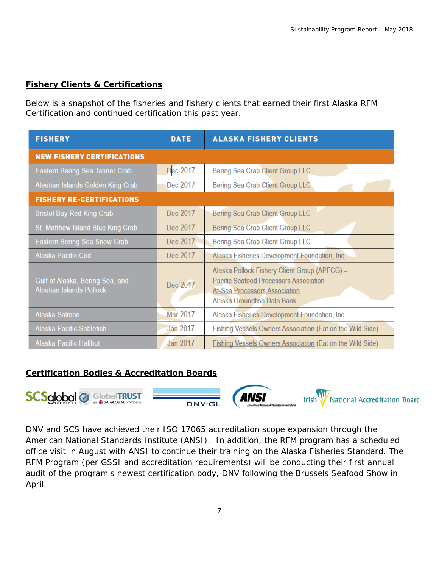# **Fishery Clients & Certifications**

Below is a snapshot of the fisheries and fishery clients that earned their first Alaska RFM Certification and continued certification this past year.

| <b>FISHERY</b>                                                     | <b>DATE</b>     | <b>ALASKA FISHERY CLIENTS</b>                                                                                                                                         |
|--------------------------------------------------------------------|-----------------|-----------------------------------------------------------------------------------------------------------------------------------------------------------------------|
| <b>NEW FISHERY CERTIFICATIONS</b>                                  |                 |                                                                                                                                                                       |
| Eastern Bering Sea Tanner Crab                                     | Dec 2017        | Bering Sea Crab Client Group LLC                                                                                                                                      |
| Aleutian Islands Golden King Crab                                  | Dec 2017        | Bering Sea Crab Client Group LLC                                                                                                                                      |
| <b>FISHERY RE-CERTIFICATIONS</b>                                   |                 |                                                                                                                                                                       |
| <b>Bristol Bay Red King Crab</b>                                   | Dec 2017        | Bering Sea Crab Client Group LLC                                                                                                                                      |
| St. Matthew Island Blue King Crab                                  | Dec 2017        | Bering Sea Crab Client Group LLC                                                                                                                                      |
| <b>Eastern Bering Sea Snow Crab</b>                                | Dec 2017        | Bering Sea Crab Client Group LLC                                                                                                                                      |
| Alaska Pacific Cod                                                 | Dec 2017        | Alaska Fisheries Development Foundation, Inc.                                                                                                                         |
| Gulf of Alaska, Bering Sea, and<br><b>Aleutian Islands Pollock</b> | Dec 2017        | Alaska Pollock Fishery Client Group (APFCG) -<br><b>Pacific Seafood Processors Association</b><br><b>At-Sea Processors Association</b><br>Alaska Groundfish Data Bank |
| Alaska Salmon                                                      | <b>Mar 2017</b> | Alaska Fisheries Development Foundation, Inc.                                                                                                                         |
| Alaska Pacific Sablefish                                           | Jan 2017        | Fishing Vessels Owners Association (Eat on the Wild Side)                                                                                                             |
| <b>Alaska Pacific Halibut</b>                                      | Jan 2017        | <b>Fishing Vessels Owners Association (Eat on the Wild Side)</b>                                                                                                      |

## **Certification Bodies & Accreditation Boards**



DNV and SCS have achieved their ISO 17065 accreditation scope expansion through the American National Standards Institute (ANSI). In addition, the RFM program has a scheduled office visit in August with ANSI to continue their training on the Alaska Fisheries Standard. The RFM Program (*per GSSI and accreditation requirements*) will be conducting their first annual audit of the program's newest certification body, DNV following the Brussels Seafood Show in April.